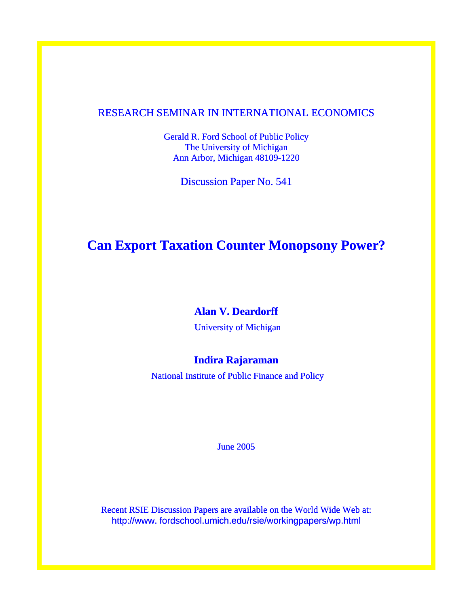# RESEARCH SEMINAR IN INTERNATIONAL ECONOMICS

Gerald R. Ford School of Public Policy The University of Michigan Ann Arbor, Michigan 48109-1220

Discussion Paper No. 541

# **Can Export Taxation Counter Monopsony Power?**

# **Alan V. Deardorff**

University of Michigan

# **Indira Rajaraman**

National Institute of Public Finance and Policy

June 2005

Recent RSIE Discussion Papers are available on the World Wide Web at: http://www. fordschool.umich.edu/rsie/workingpapers/wp.html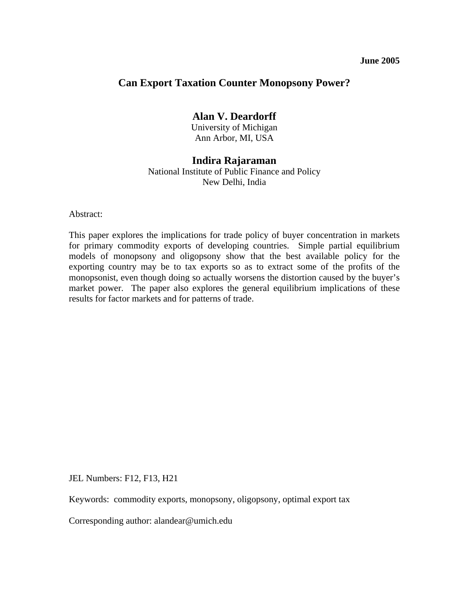## **June 2005**

# **Can Export Taxation Counter Monopsony Power?**

## **Alan V. Deardorff**

University of Michigan Ann Arbor, MI, USA

## **Indira Rajaraman**

National Institute of Public Finance and Policy New Delhi, India

Abstract:

This paper explores the implications for trade policy of buyer concentration in markets for primary commodity exports of developing countries. Simple partial equilibrium models of monopsony and oligopsony show that the best available policy for the exporting country may be to tax exports so as to extract some of the profits of the monopsonist, even though doing so actually worsens the distortion caused by the buyer's market power. The paper also explores the general equilibrium implications of these results for factor markets and for patterns of trade.

JEL Numbers: F12, F13, H21

Keywords: commodity exports, monopsony, oligopsony, optimal export tax

Corresponding author: alandear@umich.edu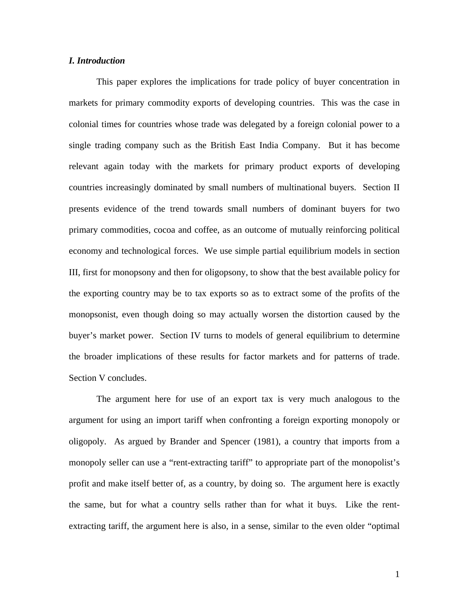## *I. Introduction*

This paper explores the implications for trade policy of buyer concentration in markets for primary commodity exports of developing countries. This was the case in colonial times for countries whose trade was delegated by a foreign colonial power to a single trading company such as the British East India Company. But it has become relevant again today with the markets for primary product exports of developing countries increasingly dominated by small numbers of multinational buyers. Section II presents evidence of the trend towards small numbers of dominant buyers for two primary commodities, cocoa and coffee, as an outcome of mutually reinforcing political economy and technological forces. We use simple partial equilibrium models in section III, first for monopsony and then for oligopsony, to show that the best available policy for the exporting country may be to tax exports so as to extract some of the profits of the monopsonist, even though doing so may actually worsen the distortion caused by the buyer's market power. Section IV turns to models of general equilibrium to determine the broader implications of these results for factor markets and for patterns of trade. Section V concludes.

The argument here for use of an export tax is very much analogous to the argument for using an import tariff when confronting a foreign exporting monopoly or oligopoly. As argued by Brander and Spencer (1981), a country that imports from a monopoly seller can use a "rent-extracting tariff" to appropriate part of the monopolist's profit and make itself better of, as a country, by doing so. The argument here is exactly the same, but for what a country sells rather than for what it buys. Like the rentextracting tariff, the argument here is also, in a sense, similar to the even older "optimal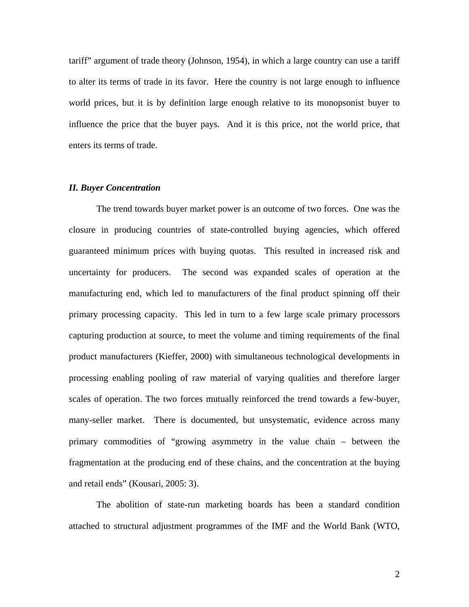tariff" argument of trade theory (Johnson, 1954), in which a large country can use a tariff to alter its terms of trade in its favor. Here the country is not large enough to influence world prices, but it is by definition large enough relative to its monopsonist buyer to influence the price that the buyer pays. And it is this price, not the world price, that enters its terms of trade.

#### *II. Buyer Concentration*

The trend towards buyer market power is an outcome of two forces. One was the closure in producing countries of state-controlled buying agencies, which offered guaranteed minimum prices with buying quotas. This resulted in increased risk and uncertainty for producers. The second was expanded scales of operation at the manufacturing end, which led to manufacturers of the final product spinning off their primary processing capacity. This led in turn to a few large scale primary processors capturing production at source, to meet the volume and timing requirements of the final product manufacturers (Kieffer, 2000) with simultaneous technological developments in processing enabling pooling of raw material of varying qualities and therefore larger scales of operation. The two forces mutually reinforced the trend towards a few-buyer, many-seller market. There is documented, but unsystematic, evidence across many primary commodities of "growing asymmetry in the value chain – between the fragmentation at the producing end of these chains, and the concentration at the buying and retail ends" (Kousari, 2005: 3).

The abolition of state-run marketing boards has been a standard condition attached to structural adjustment programmes of the IMF and the World Bank (WTO,

2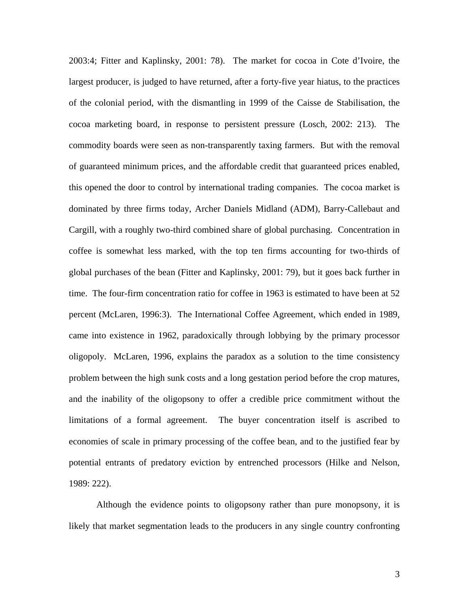2003:4; Fitter and Kaplinsky, 2001: 78). The market for cocoa in Cote d'Ivoire, the largest producer, is judged to have returned, after a forty-five year hiatus, to the practices of the colonial period, with the dismantling in 1999 of the Caisse de Stabilisation, the cocoa marketing board, in response to persistent pressure (Losch, 2002: 213). The commodity boards were seen as non-transparently taxing farmers. But with the removal of guaranteed minimum prices, and the affordable credit that guaranteed prices enabled, this opened the door to control by international trading companies. The cocoa market is dominated by three firms today, Archer Daniels Midland (ADM), Barry-Callebaut and Cargill, with a roughly two-third combined share of global purchasing. Concentration in coffee is somewhat less marked, with the top ten firms accounting for two-thirds of global purchases of the bean (Fitter and Kaplinsky, 2001: 79), but it goes back further in time. The four-firm concentration ratio for coffee in 1963 is estimated to have been at 52 percent (McLaren, 1996:3). The International Coffee Agreement, which ended in 1989, came into existence in 1962, paradoxically through lobbying by the primary processor oligopoly. McLaren, 1996, explains the paradox as a solution to the time consistency problem between the high sunk costs and a long gestation period before the crop matures, and the inability of the oligopsony to offer a credible price commitment without the limitations of a formal agreement. The buyer concentration itself is ascribed to economies of scale in primary processing of the coffee bean, and to the justified fear by potential entrants of predatory eviction by entrenched processors (Hilke and Nelson, 1989: 222).

Although the evidence points to oligopsony rather than pure monopsony, it is likely that market segmentation leads to the producers in any single country confronting

3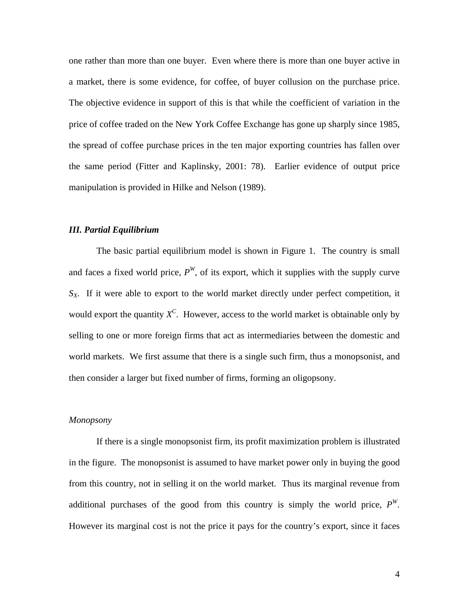one rather than more than one buyer. Even where there is more than one buyer active in a market, there is some evidence, for coffee, of buyer collusion on the purchase price. The objective evidence in support of this is that while the coefficient of variation in the price of coffee traded on the New York Coffee Exchange has gone up sharply since 1985, the spread of coffee purchase prices in the ten major exporting countries has fallen over the same period (Fitter and Kaplinsky, 2001: 78). Earlier evidence of output price manipulation is provided in Hilke and Nelson (1989).

## *III. Partial Equilibrium*

The basic partial equilibrium model is shown in Figure 1. The country is small and faces a fixed world price,  $P^{W}$ , of its export, which it supplies with the supply curve  $S_X$ . If it were able to export to the world market directly under perfect competition, it would export the quantity  $X^C$ . However, access to the world market is obtainable only by selling to one or more foreign firms that act as intermediaries between the domestic and world markets. We first assume that there is a single such firm, thus a monopsonist, and then consider a larger but fixed number of firms, forming an oligopsony.

#### *Monopsony*

If there is a single monopsonist firm, its profit maximization problem is illustrated in the figure. The monopsonist is assumed to have market power only in buying the good from this country, not in selling it on the world market. Thus its marginal revenue from additional purchases of the good from this country is simply the world price,  $P^{W}$ . However its marginal cost is not the price it pays for the country's export, since it faces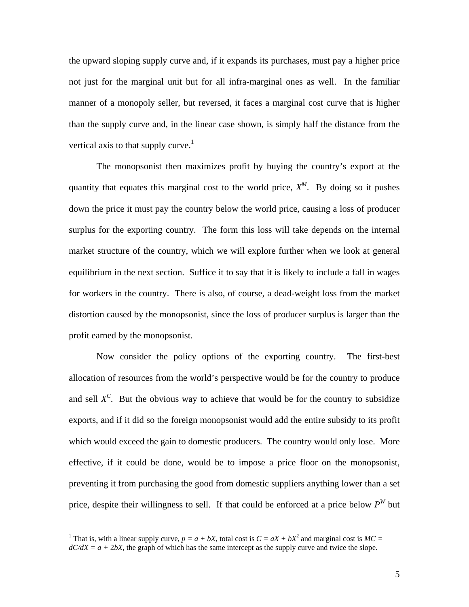the upward sloping supply curve and, if it expands its purchases, must pay a higher price not just for the marginal unit but for all infra-marginal ones as well. In the familiar manner of a monopoly seller, but reversed, it faces a marginal cost curve that is higher than the supply curve and, in the linear case shown, is simply half the distance from the vertical axis to that supply curve.<sup>[1](#page-6-0)</sup>

The monopsonist then maximizes profit by buying the country's export at the quantity that equates this marginal cost to the world price,  $X^M$ . By doing so it pushes down the price it must pay the country below the world price, causing a loss of producer surplus for the exporting country. The form this loss will take depends on the internal market structure of the country, which we will explore further when we look at general equilibrium in the next section. Suffice it to say that it is likely to include a fall in wages for workers in the country. There is also, of course, a dead-weight loss from the market distortion caused by the monopsonist, since the loss of producer surplus is larger than the profit earned by the monopsonist.

Now consider the policy options of the exporting country. The first-best allocation of resources from the world's perspective would be for the country to produce and sell  $X^C$ . But the obvious way to achieve that would be for the country to subsidize exports, and if it did so the foreign monopsonist would add the entire subsidy to its profit which would exceed the gain to domestic producers. The country would only lose. More effective, if it could be done, would be to impose a price floor on the monopsonist, preventing it from purchasing the good from domestic suppliers anything lower than a set price, despite their willingness to sell. If that could be enforced at a price below  $P^{W}$  but

1

<span id="page-6-0"></span><sup>&</sup>lt;sup>1</sup> That is, with a linear supply curve,  $p = a + bX$ , total cost is  $C = aX + bX^2$  and marginal cost is  $MC = aX + bX^2$  $dC/dX = a + 2bX$ , the graph of which has the same intercept as the supply curve and twice the slope.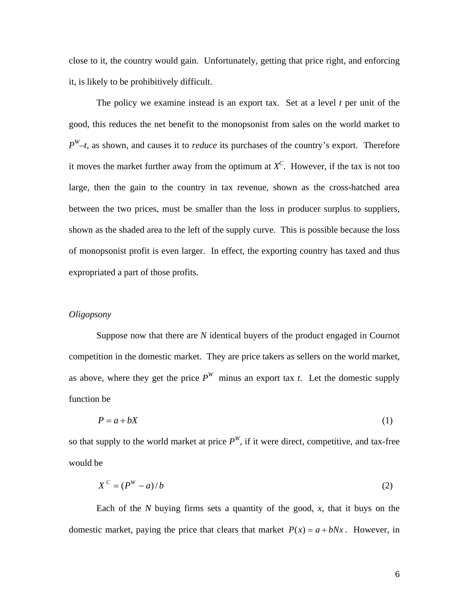close to it, the country would gain. Unfortunately, getting that price right, and enforcing it, is likely to be prohibitively difficult.

The policy we examine instead is an export tax. Set at a level *t* per unit of the good, this reduces the net benefit to the monopsonist from sales on the world market to *PW–t*, as shown, and causes it to *reduce* its purchases of the country's export. Therefore it moves the market further away from the optimum at  $X^C$ . However, if the tax is not too large, then the gain to the country in tax revenue, shown as the cross-hatched area between the two prices, must be smaller than the loss in producer surplus to suppliers, shown as the shaded area to the left of the supply curve. This is possible because the loss of monopsonist profit is even larger. In effect, the exporting country has taxed and thus expropriated a part of those profits.

### *Oligopsony*

Suppose now that there are *N* identical buyers of the product engaged in Cournot competition in the domestic market. They are price takers as sellers on the world market, as above, where they get the price  $P^{W}$  minus an export tax *t*. Let the domestic supply function be

$$
P = a + bX \tag{1}
$$

so that supply to the world market at price  $P^W$ , if it were direct, competitive, and tax-free would be

$$
X^c = (P^W - a)/b \tag{2}
$$

Each of the *N* buying firms sets a quantity of the good, *x*, that it buys on the domestic market, paying the price that clears that market  $P(x) = a + bNx$ . However, in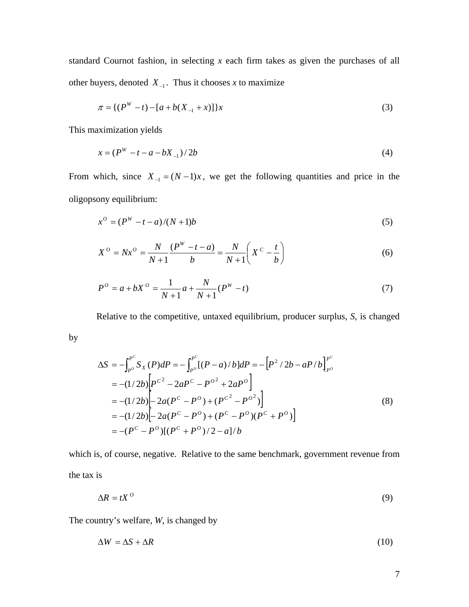standard Cournot fashion, in selecting *x* each firm takes as given the purchases of all other buyers, denoted  $X_{-1}$ . Thus it chooses *x* to maximize

$$
\pi = \{ (P^W - t) - [a + b(X_{-1} + x)] \} x \tag{3}
$$

This maximization yields

by

$$
x = (PW - t - a - bX-1)/2b
$$
 (4)

From which, since  $X_{-1} = (N-1)x$ , we get the following quantities and price in the oligopsony equilibrium:

$$
x^{0} = (P^{W} - t - a)/(N + 1)b
$$
\n(5)

$$
X^{O} = Nx^{O} = \frac{N}{N+1} \frac{(P^{W} - t - a)}{b} = \frac{N}{N+1} \left( X^{C} - \frac{t}{b} \right)
$$
(6)

$$
P^{O} = a + bX^{O} = \frac{1}{N+1}a + \frac{N}{N+1}(P^{W} - t)
$$
\n(7)

Relative to the competitive, untaxed equilibrium, producer surplus, *S*, is changed

$$
\Delta S = -\int_{P^o}^{P^c} S_X(P) dP = -\int_{P^o}^{P^c} [(P - a)/b] dP = -[P^2 / 2b - aP/b]_{P^o}^{P^c}
$$
  
= -(1/2b)  $\left[ P^{c^2} - 2aP^c - P^{o^2} + 2aP^o \right]$   
= -(1/2b)  $\left[ -2a(P^c - P^o) + (P^{c^2} - P^{o^2}) \right]$   
= -(1/2b)  $\left[ -2a(P^c - P^o) + (P^c - P^o)(P^c + P^o) \right]$   
= -(P^c - P^o)[(P^c + P^o)/2 - a]/b

which is, of course, negative. Relative to the same benchmark, government revenue from the tax is

$$
\Delta R = tX^0 \tag{9}
$$

The country's welfare, *W*, is changed by

$$
\Delta W = \Delta S + \Delta R \tag{10}
$$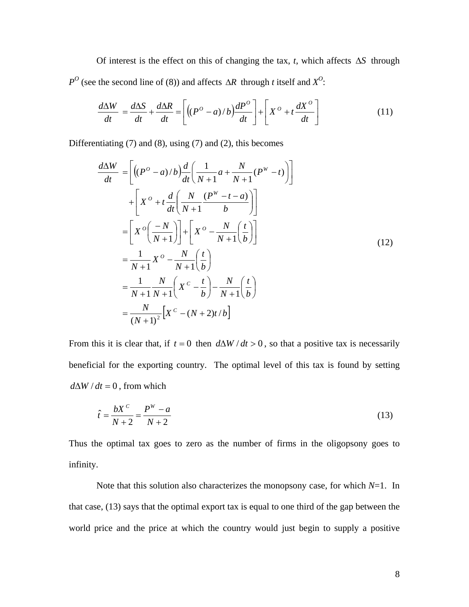Of interest is the effect on this of changing the tax,  $t$ , which affects  $\Delta S$  through  $P^{O}$  (see the second line of (8)) and affects  $\Delta R$  through *t* itself and  $X^{O}$ :

$$
\frac{d\Delta W}{dt} = \frac{d\Delta S}{dt} + \frac{d\Delta R}{dt} = \left[ \left( (P^{\circ} - a)/b \right) \frac{dP^{\circ}}{dt} \right] + \left[ X^{\circ} + t \frac{dX^{\circ}}{dt} \right] \tag{11}
$$

Differentiating (7) and (8), using (7) and (2), this becomes

$$
\frac{d\Delta W}{dt} = \left[ \left( (P^O - a)/b \right) \frac{d}{dt} \left( \frac{1}{N+1} a + \frac{N}{N+1} (P^W - t) \right) \right]
$$
  
+ 
$$
\left[ X^O + t \frac{d}{dt} \left( \frac{N}{N+1} \frac{(P^W - t - a)}{b} \right) \right]
$$
  
= 
$$
\left[ X^O \left( \frac{-N}{N+1} \right) \right] + \left[ X^O - \frac{N}{N+1} \left( \frac{t}{b} \right) \right]
$$
  
= 
$$
\frac{1}{N+1} X^O - \frac{N}{N+1} \left( \frac{t}{b} \right)
$$
  
= 
$$
\frac{1}{N+1} \frac{N}{N+1} \left( X^C - \frac{t}{b} \right) - \frac{N}{N+1} \left( \frac{t}{b} \right)
$$
  
= 
$$
\frac{N}{(N+1)^2} \left[ X^C - (N+2)t/b \right]
$$
 (12)

From this it is clear that, if  $t = 0$  then  $d\Delta W/dt > 0$ , so that a positive tax is necessarily beneficial for the exporting country. The optimal level of this tax is found by setting  $d\Delta W/dt = 0$ , from which

$$
\hat{t} = \frac{bX^c}{N+2} = \frac{P^w - a}{N+2}
$$
\n(13)

Thus the optimal tax goes to zero as the number of firms in the oligopsony goes to infinity.

Note that this solution also characterizes the monopsony case, for which *N*=1. In that case, (13) says that the optimal export tax is equal to one third of the gap between the world price and the price at which the country would just begin to supply a positive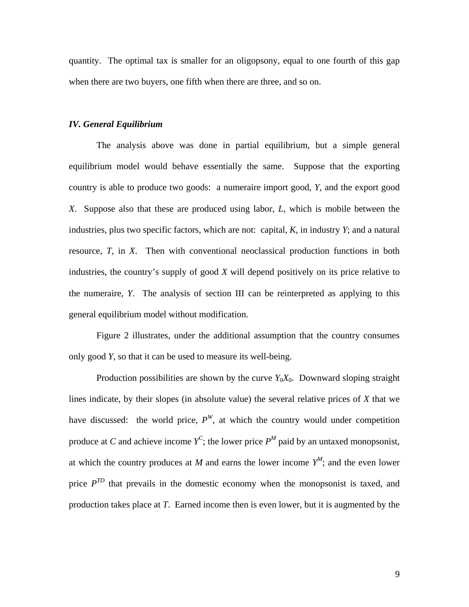quantity. The optimal tax is smaller for an oligopsony, equal to one fourth of this gap when there are two buyers, one fifth when there are three, and so on.

### *IV. General Equilibrium*

The analysis above was done in partial equilibrium, but a simple general equilibrium model would behave essentially the same. Suppose that the exporting country is able to produce two goods: a numeraire import good, *Y*, and the export good *X*. Suppose also that these are produced using labor, *L*, which is mobile between the industries, plus two specific factors, which are not: capital, *K*, in industry *Y*; and a natural resource, *T*, in *X*. Then with conventional neoclassical production functions in both industries, the country's supply of good *X* will depend positively on its price relative to the numeraire, *Y*. The analysis of section III can be reinterpreted as applying to this general equilibrium model without modification.

Figure 2 illustrates, under the additional assumption that the country consumes only good *Y*, so that it can be used to measure its well-being.

Production possibilities are shown by the curve  $Y_0X_0$ . Downward sloping straight lines indicate, by their slopes (in absolute value) the several relative prices of *X* that we have discussed: the world price,  $P^{W}$ , at which the country would under competition produce at *C* and achieve income  $Y^C$ ; the lower price  $P^M$  paid by an untaxed monopsonist, at which the country produces at *M* and earns the lower income  $Y^M$ ; and the even lower price  $P^{TD}$  that prevails in the domestic economy when the monopsonist is taxed, and production takes place at *T*. Earned income then is even lower, but it is augmented by the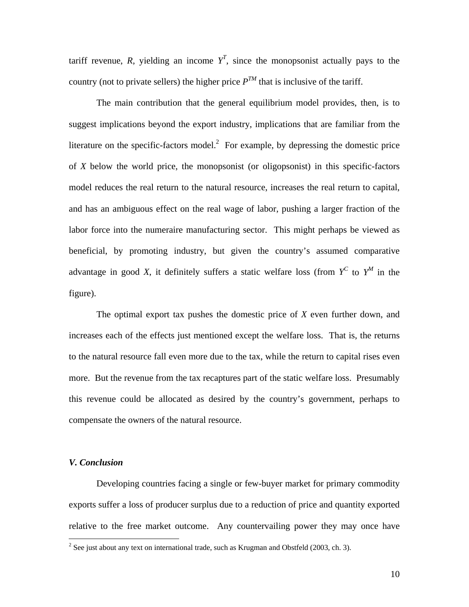tariff revenue, R, yielding an income  $Y^T$ , since the monopsonist actually pays to the country (not to private sellers) the higher price  $P^{TM}$  that is inclusive of the tariff.

The main contribution that the general equilibrium model provides, then, is to suggest implications beyond the export industry, implications that are familiar from the literature on the specific-factors model. $2$  For example, by depressing the domestic price of *X* below the world price, the monopsonist (or oligopsonist) in this specific-factors model reduces the real return to the natural resource, increases the real return to capital, and has an ambiguous effect on the real wage of labor, pushing a larger fraction of the labor force into the numeraire manufacturing sector. This might perhaps be viewed as beneficial, by promoting industry, but given the country's assumed comparative advantage in good *X*, it definitely suffers a static welfare loss (from  $Y^C$  to  $Y^M$  in the figure).

The optimal export tax pushes the domestic price of *X* even further down, and increases each of the effects just mentioned except the welfare loss. That is, the returns to the natural resource fall even more due to the tax, while the return to capital rises even more. But the revenue from the tax recaptures part of the static welfare loss. Presumably this revenue could be allocated as desired by the country's government, perhaps to compensate the owners of the natural resource.

#### *V. Conclusion*

 Developing countries facing a single or few-buyer market for primary commodity exports suffer a loss of producer surplus due to a reduction of price and quantity exported relative to the free market outcome. Any countervailing power they may once have

<span id="page-11-0"></span> $\frac{1}{2}$  $2^2$  See just about any text on international trade, such as Krugman and Obstfeld (2003, ch. 3).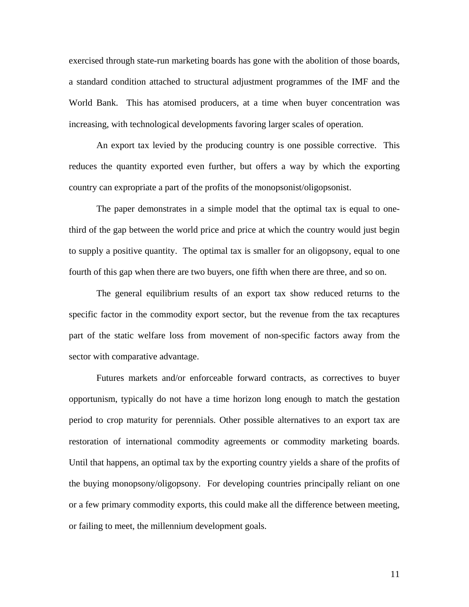exercised through state-run marketing boards has gone with the abolition of those boards, a standard condition attached to structural adjustment programmes of the IMF and the World Bank. This has atomised producers, at a time when buyer concentration was increasing, with technological developments favoring larger scales of operation.

An export tax levied by the producing country is one possible corrective. This reduces the quantity exported even further, but offers a way by which the exporting country can expropriate a part of the profits of the monopsonist/oligopsonist.

The paper demonstrates in a simple model that the optimal tax is equal to onethird of the gap between the world price and price at which the country would just begin to supply a positive quantity. The optimal tax is smaller for an oligopsony, equal to one fourth of this gap when there are two buyers, one fifth when there are three, and so on.

The general equilibrium results of an export tax show reduced returns to the specific factor in the commodity export sector, but the revenue from the tax recaptures part of the static welfare loss from movement of non-specific factors away from the sector with comparative advantage.

Futures markets and/or enforceable forward contracts, as correctives to buyer opportunism, typically do not have a time horizon long enough to match the gestation period to crop maturity for perennials. Other possible alternatives to an export tax are restoration of international commodity agreements or commodity marketing boards. Until that happens, an optimal tax by the exporting country yields a share of the profits of the buying monopsony/oligopsony. For developing countries principally reliant on one or a few primary commodity exports, this could make all the difference between meeting, or failing to meet, the millennium development goals.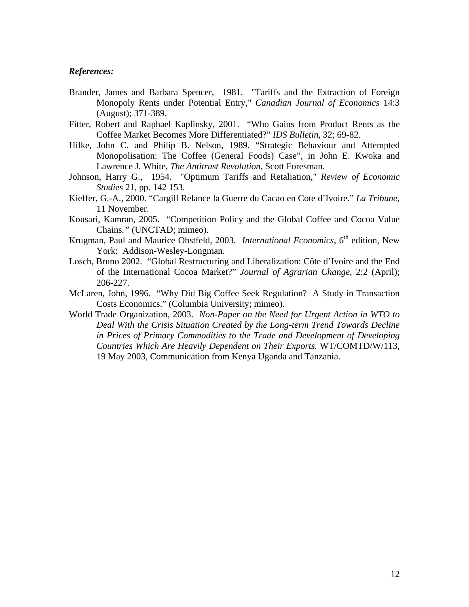## *References:*

- Brander, James and Barbara Spencer, 1981. "Tariffs and the Extraction of Foreign Monopoly Rents under Potential Entry," *Canadian Journal of Economics* 14:3 (August); 371-389.
- Fitter, Robert and Raphael Kaplinsky, 2001. "Who Gains from Product Rents as the Coffee Market Becomes More Differentiated?" *IDS Bulletin*, 32; 69-82.
- Hilke, John C. and Philip B. Nelson, 1989. "Strategic Behaviour and Attempted Monopolisation: The Coffee (General Foods) Case", in John E. Kwoka and Lawrence J. White, *The Antitrust Revolution*, Scott Foresman.
- Johnson, Harry G., 1954. "Optimum Tariffs and Retaliation," *Review of Economic Studies* 21, pp. 142 153.
- Kieffer, G.-A., 2000. "Cargill Relance la Guerre du Cacao en Cote d'Ivoire." *La Tribune*, 11 November.
- Kousari, Kamran, 2005. "Competition Policy and the Global Coffee and Cocoa Value Chains*."* (UNCTAD; mimeo).
- Krugman, Paul and Maurice Obstfeld, 2003. *International Economics*, 6<sup>th</sup> edition, New York: Addison-Wesley-Longman.
- Losch, Bruno 2002. "Global Restructuring and Liberalization: Côte d'Ivoire and the End of the International Cocoa Market?" *Journal of Agrarian Change*, 2:2 (April); 206-227.
- McLaren, John, 1996. "Why Did Big Coffee Seek Regulation? A Study in Transaction Costs Economics." (Columbia University; mimeo).
- World Trade Organization, 2003. *Non-Paper on the Need for Urgent Action in WTO to Deal With the Crisis Situation Created by the Long-term Trend Towards Decline in Prices of Primary Commodities to the Trade and Development of Developing Countries Which Are Heavily Dependent on Their Exports.* WT/COMTD/W/113, 19 May 2003, Communication from Kenya Uganda and Tanzania.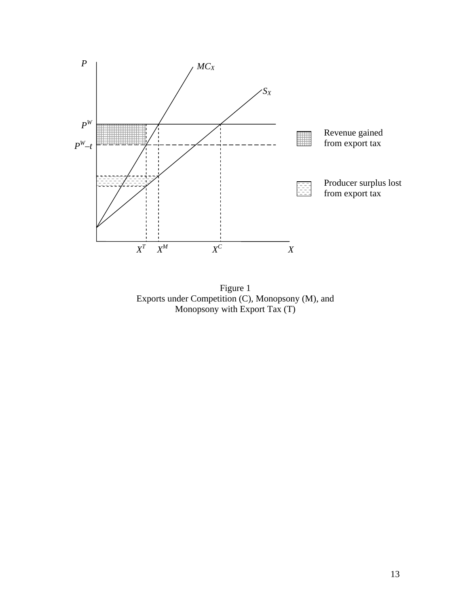

Figure 1 Exports under Competition (C), Monopsony (M), and Monopsony with Export Tax (T)